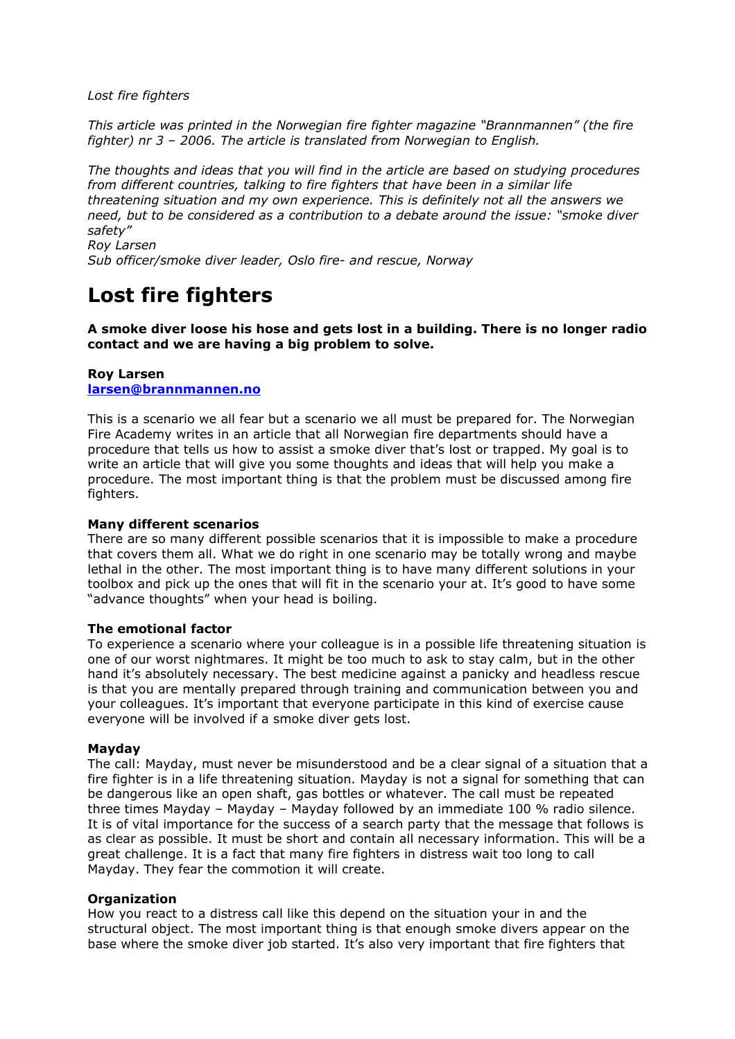*Lost fire fighters*

*This article was printed in the Norwegian fire fighter magazine "Brannmannen" (the fire fighter) nr 3 – 2006. The article is translated from Norwegian to English.*

*The thoughts and ideas that you will find in the article are based on studying procedures from different countries, talking to fire fighters that have been in a similar life threatening situation and my own experience. This is definitely not all the answers we need, but to be considered as a contribution to a debate around the issue: "smoke diver safety"* 

*Roy Larsen Sub officer/smoke diver leader, Oslo fire- and rescue, Norway* 

# **Lost fire fighters**

**A smoke diver loose his hose and gets lost in a building. There is no longer radio contact and we are having a big problem to solve.**

# **Roy Larsen [larsen@brannmannen.no](mailto:larsen@brannmannen.no)**

This is a scenario we all fear but a scenario we all must be prepared for. The Norwegian Fire Academy writes in an article that all Norwegian fire departments should have a procedure that tells us how to assist a smoke diver that's lost or trapped. My goal is to write an article that will give you some thoughts and ideas that will help you make a procedure. The most important thing is that the problem must be discussed among fire fighters.

# **Many different scenarios**

There are so many different possible scenarios that it is impossible to make a procedure that covers them all. What we do right in one scenario may be totally wrong and maybe lethal in the other. The most important thing is to have many different solutions in your toolbox and pick up the ones that will fit in the scenario your at. It's good to have some "advance thoughts" when your head is boiling.

# **The emotional factor**

To experience a scenario where your colleague is in a possible life threatening situation is one of our worst nightmares. It might be too much to ask to stay calm, but in the other hand it's absolutely necessary. The best medicine against a panicky and headless rescue is that you are mentally prepared through training and communication between you and your colleagues. It's important that everyone participate in this kind of exercise cause everyone will be involved if a smoke diver gets lost.

#### **Mayday**

The call: Mayday, must never be misunderstood and be a clear signal of a situation that a fire fighter is in a life threatening situation. Mayday is not a signal for something that can be dangerous like an open shaft, gas bottles or whatever. The call must be repeated three times Mayday – Mayday – Mayday followed by an immediate 100 % radio silence. It is of vital importance for the success of a search party that the message that follows is as clear as possible. It must be short and contain all necessary information. This will be a great challenge. It is a fact that many fire fighters in distress wait too long to call Mayday. They fear the commotion it will create.

# **Organization**

How you react to a distress call like this depend on the situation your in and the structural object. The most important thing is that enough smoke divers appear on the base where the smoke diver job started. It's also very important that fire fighters that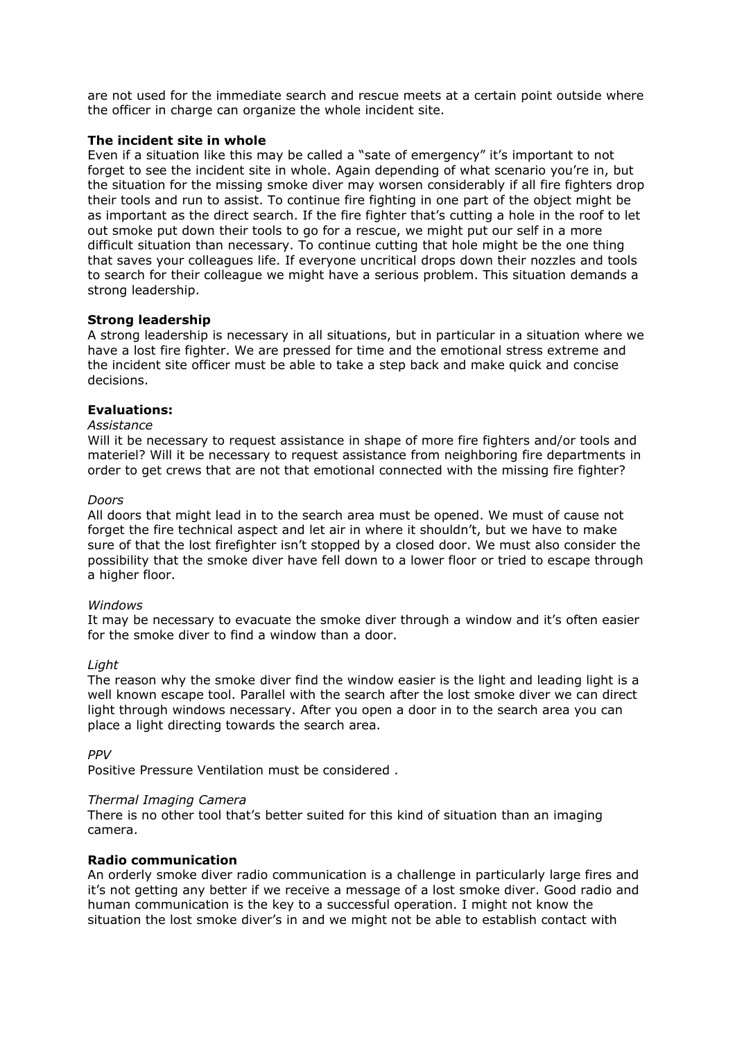are not used for the immediate search and rescue meets at a certain point outside where the officer in charge can organize the whole incident site.

## **The incident site in whole**

Even if a situation like this may be called a "sate of emergency" it's important to not forget to see the incident site in whole. Again depending of what scenario you're in, but the situation for the missing smoke diver may worsen considerably if all fire fighters drop their tools and run to assist. To continue fire fighting in one part of the object might be as important as the direct search. If the fire fighter that's cutting a hole in the roof to let out smoke put down their tools to go for a rescue, we might put our self in a more difficult situation than necessary. To continue cutting that hole might be the one thing that saves your colleagues life. If everyone uncritical drops down their nozzles and tools to search for their colleague we might have a serious problem. This situation demands a strong leadership.

# **Strong leadership**

A strong leadership is necessary in all situations, but in particular in a situation where we have a lost fire fighter. We are pressed for time and the emotional stress extreme and the incident site officer must be able to take a step back and make quick and concise decisions.

### **Evaluations:**

#### *Assistance*

Will it be necessary to request assistance in shape of more fire fighters and/or tools and materiel? Will it be necessary to request assistance from neighboring fire departments in order to get crews that are not that emotional connected with the missing fire fighter?

#### *Doors*

All doors that might lead in to the search area must be opened. We must of cause not forget the fire technical aspect and let air in where it shouldn't, but we have to make sure of that the lost firefighter isn't stopped by a closed door. We must also consider the possibility that the smoke diver have fell down to a lower floor or tried to escape through a higher floor.

#### *Windows*

It may be necessary to evacuate the smoke diver through a window and it's often easier for the smoke diver to find a window than a door.

#### *Light*

The reason why the smoke diver find the window easier is the light and leading light is a well known escape tool. Parallel with the search after the lost smoke diver we can direct light through windows necessary. After you open a door in to the search area you can place a light directing towards the search area.

*PPV*

Positive Pressure Ventilation must be considered .

#### *Thermal Imaging Camera*

There is no other tool that's better suited for this kind of situation than an imaging camera.

# **Radio communication**

An orderly smoke diver radio communication is a challenge in particularly large fires and it's not getting any better if we receive a message of a lost smoke diver. Good radio and human communication is the key to a successful operation. I might not know the situation the lost smoke diver's in and we might not be able to establish contact with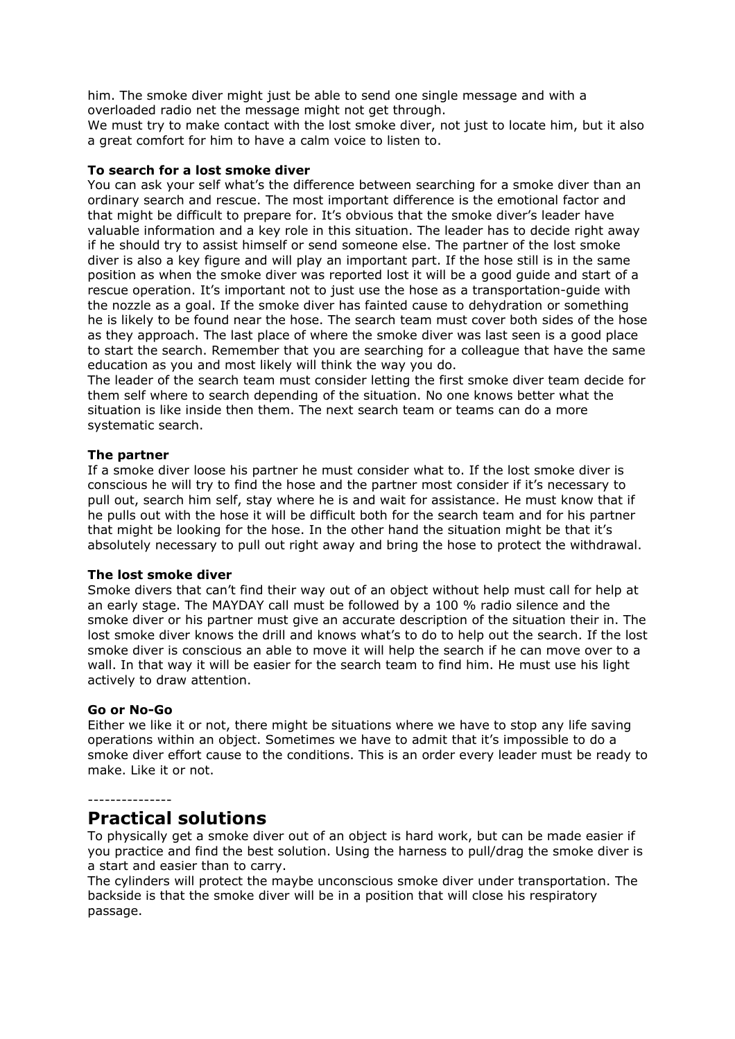him. The smoke diver might just be able to send one single message and with a overloaded radio net the message might not get through.

We must try to make contact with the lost smoke diver, not just to locate him, but it also a great comfort for him to have a calm voice to listen to.

## **To search for a lost smoke diver**

You can ask your self what's the difference between searching for a smoke diver than an ordinary search and rescue. The most important difference is the emotional factor and that might be difficult to prepare for. It's obvious that the smoke diver's leader have valuable information and a key role in this situation. The leader has to decide right away if he should try to assist himself or send someone else. The partner of the lost smoke diver is also a key figure and will play an important part. If the hose still is in the same position as when the smoke diver was reported lost it will be a good guide and start of a rescue operation. It's important not to just use the hose as a transportation-guide with the nozzle as a goal. If the smoke diver has fainted cause to dehydration or something he is likely to be found near the hose. The search team must cover both sides of the hose as they approach. The last place of where the smoke diver was last seen is a good place to start the search. Remember that you are searching for a colleague that have the same education as you and most likely will think the way you do.

The leader of the search team must consider letting the first smoke diver team decide for them self where to search depending of the situation. No one knows better what the situation is like inside then them. The next search team or teams can do a more systematic search.

### **The partner**

If a smoke diver loose his partner he must consider what to. If the lost smoke diver is conscious he will try to find the hose and the partner most consider if it's necessary to pull out, search him self, stay where he is and wait for assistance. He must know that if he pulls out with the hose it will be difficult both for the search team and for his partner that might be looking for the hose. In the other hand the situation might be that it's absolutely necessary to pull out right away and bring the hose to protect the withdrawal.

#### **The lost smoke diver**

Smoke divers that can't find their way out of an object without help must call for help at an early stage. The MAYDAY call must be followed by a 100 % radio silence and the smoke diver or his partner must give an accurate description of the situation their in. The lost smoke diver knows the drill and knows what's to do to help out the search. If the lost smoke diver is conscious an able to move it will help the search if he can move over to a wall. In that way it will be easier for the search team to find him. He must use his light actively to draw attention.

#### **Go or No-Go**

Either we like it or not, there might be situations where we have to stop any life saving operations within an object. Sometimes we have to admit that it's impossible to do a smoke diver effort cause to the conditions. This is an order every leader must be ready to make. Like it or not.

# ---------------

# **Practical solutions**

To physically get a smoke diver out of an object is hard work, but can be made easier if you practice and find the best solution. Using the harness to pull/drag the smoke diver is a start and easier than to carry.

The cylinders will protect the maybe unconscious smoke diver under transportation. The backside is that the smoke diver will be in a position that will close his respiratory passage.